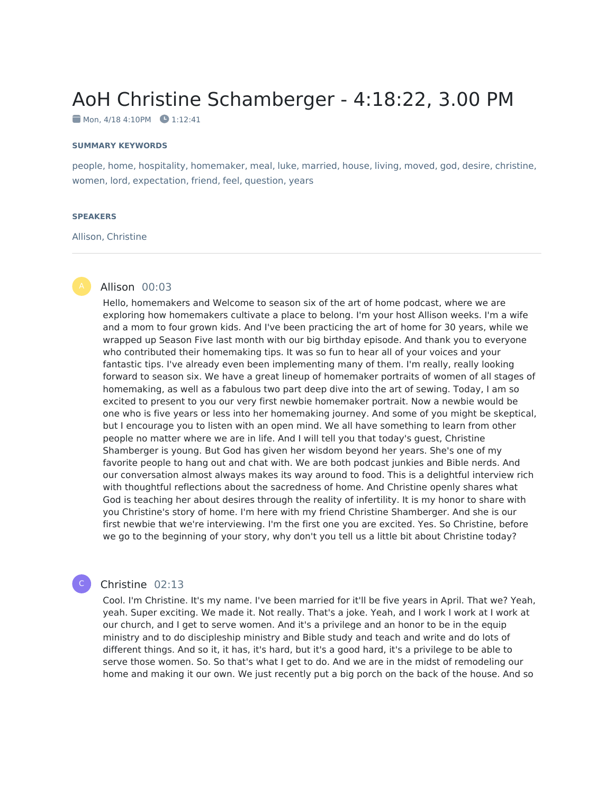# AoH Christine Schamberger - 4:18:22, 3.00 PM

 $\blacksquare$  Mon, 4/18 4:10PM  $\blacksquare$  1:12:41

#### **SUMMARY KEYWORDS**

people, home, hospitality, homemaker, meal, luke, married, house, living, moved, god, desire, christine, women, lord, expectation, friend, feel, question, years

#### **SPEAKERS**

#### Allison, Christine

#### Allison 00:03

Hello, homemakers and Welcome to season six of the art of home podcast, where we are exploring how homemakers cultivate a place to belong. I'm your host Allison weeks. I'm a wife and a mom to four grown kids. And I've been practicing the art of home for 30 years, while we wrapped up Season Five last month with our big birthday episode. And thank you to everyone who contributed their homemaking tips. It was so fun to hear all of your voices and your fantastic tips. I've already even been implementing many of them. I'm really, really looking forward to season six. We have a great lineup of homemaker portraits of women of all stages of homemaking, as well as a fabulous two part deep dive into the art of sewing. Today, I am so excited to present to you our very first newbie homemaker portrait. Now a newbie would be one who is five years or less into her homemaking journey. And some of you might be skeptical, but I encourage you to listen with an open mind. We all have something to learn from other people no matter where we are in life. And I will tell you that today's guest, Christine Shamberger is young. But God has given her wisdom beyond her years. She's one of my favorite people to hang out and chat with. We are both podcast junkies and Bible nerds. And our conversation almost always makes its way around to food. This is a delightful interview rich with thoughtful reflections about the sacredness of home. And Christine openly shares what God is teaching her about desires through the reality of infertility. It is my honor to share with you Christine's story of home. I'm here with my friend Christine Shamberger. And she is our first newbie that we're interviewing. I'm the first one you are excited. Yes. So Christine, before we go to the beginning of your story, why don't you tell us a little bit about Christine today?

#### Christine 02:13

C

Cool. I'm Christine. It's my name. I've been married for it'll be five years in April. That we? Yeah, yeah. Super exciting. We made it. Not really. That's a joke. Yeah, and I work I work at I work at our church, and I get to serve women. And it's a privilege and an honor to be in the equip ministry and to do discipleship ministry and Bible study and teach and write and do lots of different things. And so it, it has, it's hard, but it's a good hard, it's a privilege to be able to serve those women. So. So that's what I get to do. And we are in the midst of remodeling our home and making it our own. We just recently put a big porch on the back of the house. And so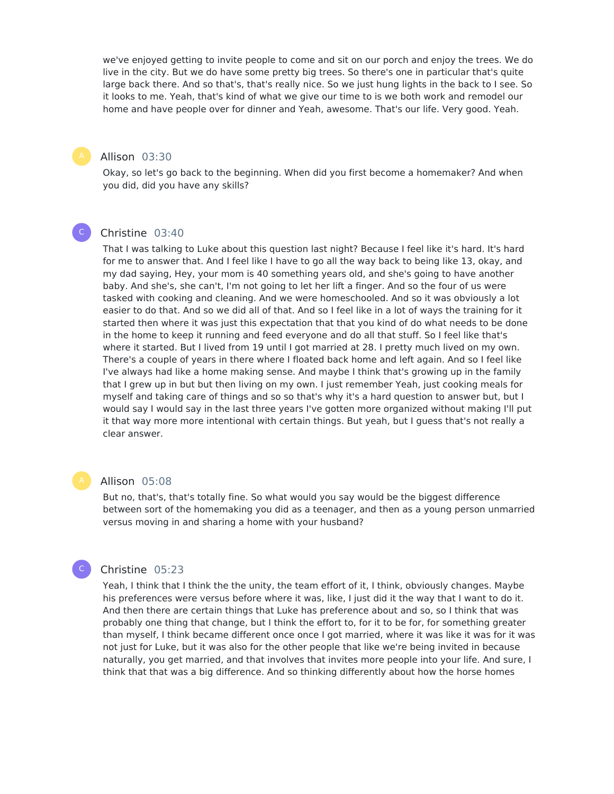we've enjoyed getting to invite people to come and sit on our porch and enjoy the trees. We do live in the city. But we do have some pretty big trees. So there's one in particular that's quite large back there. And so that's, that's really nice. So we just hung lights in the back to I see. So it looks to me. Yeah, that's kind of what we give our time to is we both work and remodel our home and have people over for dinner and Yeah, awesome. That's our life. Very good. Yeah.

### Allison 03:30

Okay, so let's go back to the beginning. When did you first become a homemaker? And when you did, did you have any skills?

#### Christine 03:40

 $\mathsf{C}^-$ 

That I was talking to Luke about this question last night? Because I feel like it's hard. It's hard for me to answer that. And I feel like I have to go all the way back to being like 13, okay, and my dad saying, Hey, your mom is 40 something years old, and she's going to have another baby. And she's, she can't, I'm not going to let her lift a finger. And so the four of us were tasked with cooking and cleaning. And we were homeschooled. And so it was obviously a lot easier to do that. And so we did all of that. And so I feel like in a lot of ways the training for it started then where it was just this expectation that that you kind of do what needs to be done in the home to keep it running and feed everyone and do all that stuff. So I feel like that's where it started. But I lived from 19 until I got married at 28. I pretty much lived on my own. There's a couple of years in there where I floated back home and left again. And so I feel like I've always had like a home making sense. And maybe I think that's growing up in the family that I grew up in but but then living on my own. I just remember Yeah, just cooking meals for myself and taking care of things and so so that's why it's a hard question to answer but, but I would say I would say in the last three years I've gotten more organized without making I'll put it that way more more intentional with certain things. But yeah, but I guess that's not really a clear answer.

#### Allison 05:08

But no, that's, that's totally fine. So what would you say would be the biggest difference between sort of the homemaking you did as a teenager, and then as a young person unmarried versus moving in and sharing a home with your husband?

#### Christine 05:23

C

Yeah, I think that I think the the unity, the team effort of it, I think, obviously changes. Maybe his preferences were versus before where it was, like, I just did it the way that I want to do it. And then there are certain things that Luke has preference about and so, so I think that was probably one thing that change, but I think the effort to, for it to be for, for something greater than myself, I think became different once once I got married, where it was like it was for it was not just for Luke, but it was also for the other people that like we're being invited in because naturally, you get married, and that involves that invites more people into your life. And sure, I think that that was a big difference. And so thinking differently about how the horse homes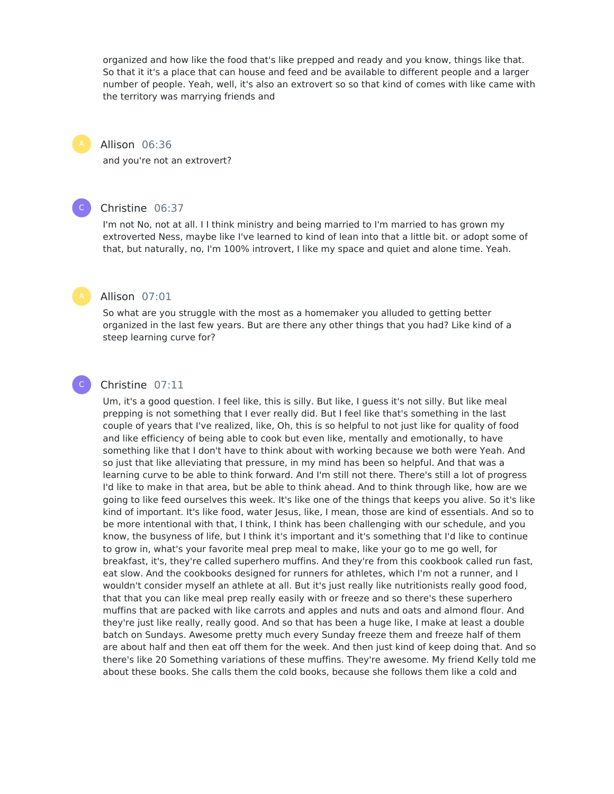organized and how like the food that's like prepped and ready and you know, things like that. So that it it's a place that can house and feed and be available to different people and a larger number of people. Yeah, well, it's also an extrovert so so that kind of comes with like came with the territory was marrying friends and

#### Allison 06:36

and you're not an extrovert?



#### Christine 06:37

I'm not No, not at all. I I think ministry and being married to I'm married to has grown my extroverted Ness, maybe like I've learned to kind of lean into that a little bit. or adopt some of that, but naturally, no, I'm 100% introvert, I like my space and quiet and alone time. Yeah.



C

#### Allison 07:01

So what are you struggle with the most as a homemaker you alluded to getting better organized in the last few years. But are there any other things that you had? Like kind of a steep learning curve for?

#### Christine 07:11

Um, it's a good question. I feel like, this is silly. But like, I guess it's not silly. But like meal prepping is not something that I ever really did. But I feel like that's something in the last couple of years that I've realized, like, Oh, this is so helpful to not just like for quality of food and like efficiency of being able to cook but even like, mentally and emotionally, to have something like that I don't have to think about with working because we both were Yeah. And so just that like alleviating that pressure, in my mind has been so helpful. And that was a learning curve to be able to think forward. And I'm still not there. There's still a lot of progress I'd like to make in that area, but be able to think ahead. And to think through like, how are we going to like feed ourselves this week. It's like one of the things that keeps you alive. So it's like kind of important. It's like food, water Jesus, like, I mean, those are kind of essentials. And so to be more intentional with that, I think, I think has been challenging with our schedule, and you know, the busyness of life, but I think it's important and it's something that I'd like to continue to grow in, what's your favorite meal prep meal to make, like your go to me go well, for breakfast, it's, they're called superhero muffins. And they're from this cookbook called run fast, eat slow. And the cookbooks designed for runners for athletes, which I'm not a runner, and I wouldn't consider myself an athlete at all. But it's just really like nutritionists really good food, that that you can like meal prep really easily with or freeze and so there's these superhero muffins that are packed with like carrots and apples and nuts and oats and almond flour. And they're just like really, really good. And so that has been a huge like, I make at least a double batch on Sundays. Awesome pretty much every Sunday freeze them and freeze half of them are about half and then eat off them for the week. And then just kind of keep doing that. And so there's like 20 Something variations of these muffins. They're awesome. My friend Kelly told me about these books. She calls them the cold books, because she follows them like a cold and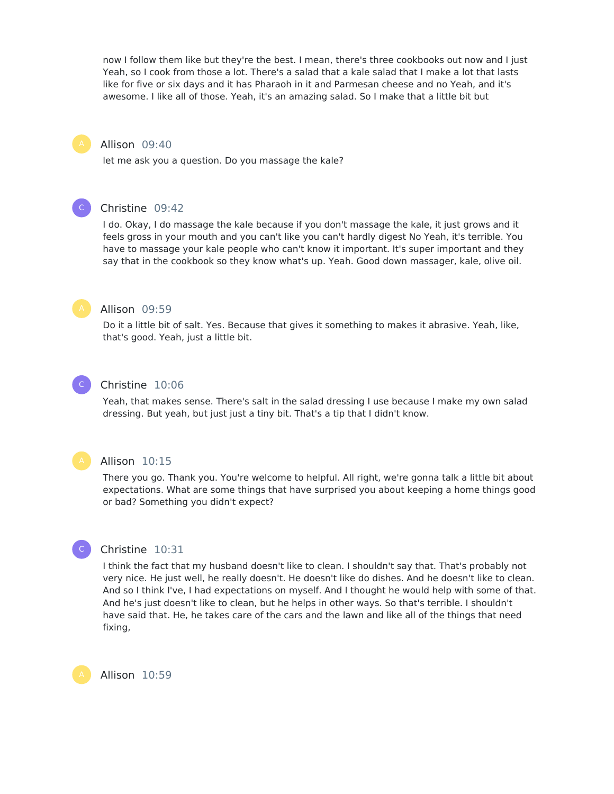now I follow them like but they're the best. I mean, there's three cookbooks out now and I just Yeah, so I cook from those a lot. There's a salad that a kale salad that I make a lot that lasts like for five or six days and it has Pharaoh in it and Parmesan cheese and no Yeah, and it's awesome. I like all of those. Yeah, it's an amazing salad. So I make that a little bit but

#### Allison 09:40

let me ask you a question. Do you massage the kale?



#### Christine 09:42

I do. Okay, I do massage the kale because if you don't massage the kale, it just grows and it feels gross in your mouth and you can't like you can't hardly digest No Yeah, it's terrible. You have to massage your kale people who can't know it important. It's super important and they say that in the cookbook so they know what's up. Yeah. Good down massager, kale, olive oil.



#### Allison 09:59

Do it a little bit of salt. Yes. Because that gives it something to makes it abrasive. Yeah, like, that's good. Yeah, just a little bit.

#### $\mathsf{C}^-$

#### Christine 10:06

Yeah, that makes sense. There's salt in the salad dressing I use because I make my own salad dressing. But yeah, but just just a tiny bit. That's a tip that I didn't know.



 $\mathsf{C}^-$ 

#### Allison 10:15

There you go. Thank you. You're welcome to helpful. All right, we're gonna talk a little bit about expectations. What are some things that have surprised you about keeping a home things good or bad? Something you didn't expect?

#### Christine 10:31

I think the fact that my husband doesn't like to clean. I shouldn't say that. That's probably not very nice. He just well, he really doesn't. He doesn't like do dishes. And he doesn't like to clean. And so I think I've, I had expectations on myself. And I thought he would help with some of that. And he's just doesn't like to clean, but he helps in other ways. So that's terrible. I shouldn't have said that. He, he takes care of the cars and the lawn and like all of the things that need fixing,

Allison 10:59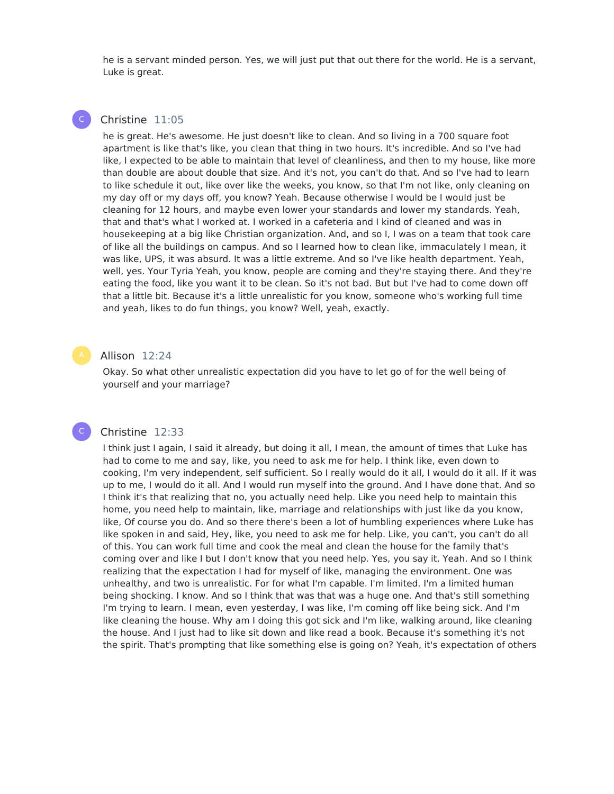he is a servant minded person. Yes, we will just put that out there for the world. He is a servant, Luke is great.

#### Christine 11:05

 $\mathsf{C}^-$ 

he is great. He's awesome. He just doesn't like to clean. And so living in a 700 square foot apartment is like that's like, you clean that thing in two hours. It's incredible. And so I've had like, I expected to be able to maintain that level of cleanliness, and then to my house, like more than double are about double that size. And it's not, you can't do that. And so I've had to learn to like schedule it out, like over like the weeks, you know, so that I'm not like, only cleaning on my day off or my days off, you know? Yeah. Because otherwise I would be I would just be cleaning for 12 hours, and maybe even lower your standards and lower my standards. Yeah, that and that's what I worked at. I worked in a cafeteria and I kind of cleaned and was in housekeeping at a big like Christian organization. And, and so I, I was on a team that took care of like all the buildings on campus. And so I learned how to clean like, immaculately I mean, it was like, UPS, it was absurd. It was a little extreme. And so I've like health department. Yeah, well, yes. Your Tyria Yeah, you know, people are coming and they're staying there. And they're eating the food, like you want it to be clean. So it's not bad. But but I've had to come down off that a little bit. Because it's a little unrealistic for you know, someone who's working full time and yeah, likes to do fun things, you know? Well, yeah, exactly.

#### Allison 12:24

Okay. So what other unrealistic expectation did you have to let go of for the well being of yourself and your marriage?

#### Christine 12:33

C

I think just I again, I said it already, but doing it all, I mean, the amount of times that Luke has had to come to me and say, like, you need to ask me for help. I think like, even down to cooking, I'm very independent, self sufficient. So I really would do it all, I would do it all. If it was up to me, I would do it all. And I would run myself into the ground. And I have done that. And so I think it's that realizing that no, you actually need help. Like you need help to maintain this home, you need help to maintain, like, marriage and relationships with just like da you know, like, Of course you do. And so there there's been a lot of humbling experiences where Luke has like spoken in and said, Hey, like, you need to ask me for help. Like, you can't, you can't do all of this. You can work full time and cook the meal and clean the house for the family that's coming over and like I but I don't know that you need help. Yes, you say it. Yeah. And so I think realizing that the expectation I had for myself of like, managing the environment. One was unhealthy, and two is unrealistic. For for what I'm capable. I'm limited. I'm a limited human being shocking. I know. And so I think that was that was a huge one. And that's still something I'm trying to learn. I mean, even yesterday, I was like, I'm coming off like being sick. And I'm like cleaning the house. Why am I doing this got sick and I'm like, walking around, like cleaning the house. And I just had to like sit down and like read a book. Because it's something it's not the spirit. That's prompting that like something else is going on? Yeah, it's expectation of others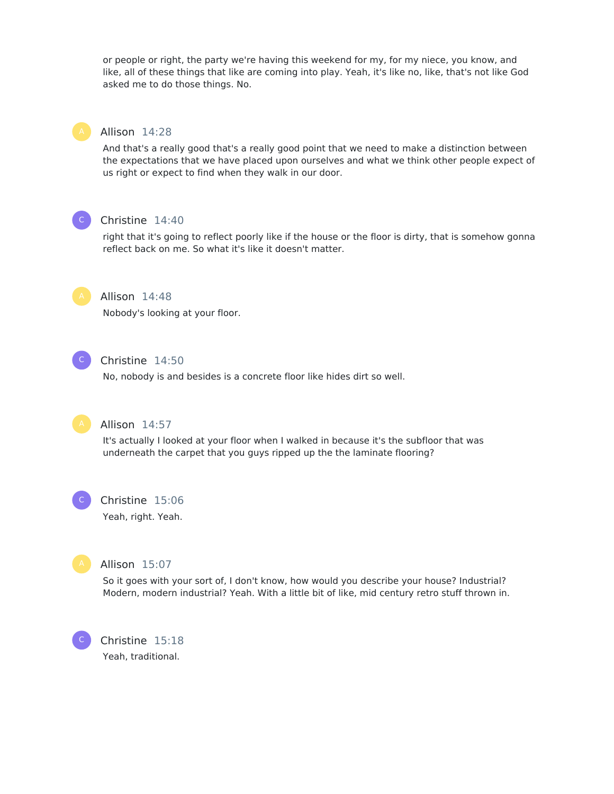or people or right, the party we're having this weekend for my, for my niece, you know, and like, all of these things that like are coming into play. Yeah, it's like no, like, that's not like God asked me to do those things. No.



#### Allison 14:28

And that's a really good that's a really good point that we need to make a distinction between the expectations that we have placed upon ourselves and what we think other people expect of us right or expect to find when they walk in our door.



# Christine 14:40

right that it's going to reflect poorly like if the house or the floor is dirty, that is somehow gonna reflect back on me. So what it's like it doesn't matter.



#### Allison 14:48

Nobody's looking at your floor.



#### Christine 14:50

No, nobody is and besides is a concrete floor like hides dirt so well.



#### Allison 14:57

It's actually I looked at your floor when I walked in because it's the subfloor that was underneath the carpet that you guys ripped up the the laminate flooring?



#### Christine 15:06

Yeah, right. Yeah.



C

#### Allison 15:07

So it goes with your sort of, I don't know, how would you describe your house? Industrial? Modern, modern industrial? Yeah. With a little bit of like, mid century retro stuff thrown in.

Christine 15:18 Yeah, traditional.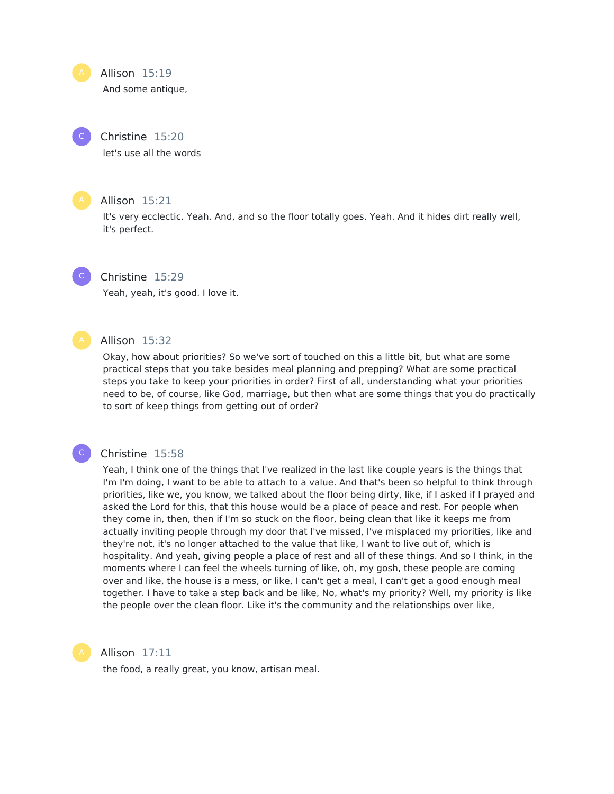Allison 15:19

And some antique,

### Christine 15:20

let's use all the words

 $\mathsf{C}^-$ 

#### Allison 15:21

It's very ecclectic. Yeah. And, and so the floor totally goes. Yeah. And it hides dirt really well, it's perfect.

#### Christine 15:29  $\mathsf{C}^-$

Yeah, yeah, it's good. I love it.



 $\mathsf{C}^-$ 

#### Allison 15:32

Okay, how about priorities? So we've sort of touched on this a little bit, but what are some practical steps that you take besides meal planning and prepping? What are some practical steps you take to keep your priorities in order? First of all, understanding what your priorities need to be, of course, like God, marriage, but then what are some things that you do practically to sort of keep things from getting out of order?

## Christine 15:58

Yeah, I think one of the things that I've realized in the last like couple years is the things that I'm I'm doing, I want to be able to attach to a value. And that's been so helpful to think through priorities, like we, you know, we talked about the floor being dirty, like, if I asked if I prayed and asked the Lord for this, that this house would be a place of peace and rest. For people when they come in, then, then if I'm so stuck on the floor, being clean that like it keeps me from actually inviting people through my door that I've missed, I've misplaced my priorities, like and they're not, it's no longer attached to the value that like, I want to live out of, which is hospitality. And yeah, giving people a place of rest and all of these things. And so I think, in the moments where I can feel the wheels turning of like, oh, my gosh, these people are coming over and like, the house is a mess, or like, I can't get a meal, I can't get a good enough meal together. I have to take a step back and be like, No, what's my priority? Well, my priority is like the people over the clean floor. Like it's the community and the relationships over like,



#### Allison 17:11

the food, a really great, you know, artisan meal.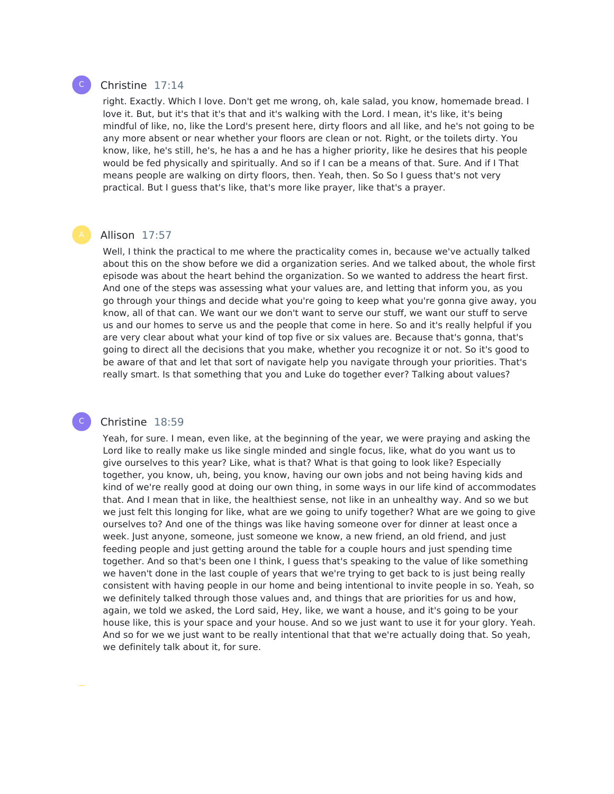

#### Christine 17:14

right. Exactly. Which I love. Don't get me wrong, oh, kale salad, you know, homemade bread. I love it. But, but it's that it's that and it's walking with the Lord. I mean, it's like, it's being mindful of like, no, like the Lord's present here, dirty floors and all like, and he's not going to be any more absent or near whether your floors are clean or not. Right, or the toilets dirty. You know, like, he's still, he's, he has a and he has a higher priority, like he desires that his people would be fed physically and spiritually. And so if I can be a means of that. Sure. And if I That means people are walking on dirty floors, then. Yeah, then. So So I guess that's not very practical. But I guess that's like, that's more like prayer, like that's a prayer.

#### Allison 17:57

Well, I think the practical to me where the practicality comes in, because we've actually talked about this on the show before we did a organization series. And we talked about, the whole first episode was about the heart behind the organization. So we wanted to address the heart first. And one of the steps was assessing what your values are, and letting that inform you, as you go through your things and decide what you're going to keep what you're gonna give away, you know, all of that can. We want our we don't want to serve our stuff, we want our stuff to serve us and our homes to serve us and the people that come in here. So and it's really helpful if you are very clear about what your kind of top five or six values are. Because that's gonna, that's going to direct all the decisions that you make, whether you recognize it or not. So it's good to be aware of that and let that sort of navigate help you navigate through your priorities. That's really smart. Is that something that you and Luke do together ever? Talking about values?

#### Christine 18:59

C

Yeah, for sure. I mean, even like, at the beginning of the year, we were praying and asking the Lord like to really make us like single minded and single focus, like, what do you want us to give ourselves to this year? Like, what is that? What is that going to look like? Especially together, you know, uh, being, you know, having our own jobs and not being having kids and kind of we're really good at doing our own thing, in some ways in our life kind of accommodates that. And I mean that in like, the healthiest sense, not like in an unhealthy way. And so we but we just felt this longing for like, what are we going to unify together? What are we going to give ourselves to? And one of the things was like having someone over for dinner at least once a week. Just anyone, someone, just someone we know, a new friend, an old friend, and just feeding people and just getting around the table for a couple hours and just spending time together. And so that's been one I think, I guess that's speaking to the value of like something we haven't done in the last couple of years that we're trying to get back to is just being really consistent with having people in our home and being intentional to invite people in so. Yeah, so we definitely talked through those values and, and things that are priorities for us and how, again, we told we asked, the Lord said, Hey, like, we want a house, and it's going to be your house like, this is your space and your house. And so we just want to use it for your glory. Yeah. And so for we we just want to be really intentional that that we're actually doing that. So yeah, we definitely talk about it, for sure.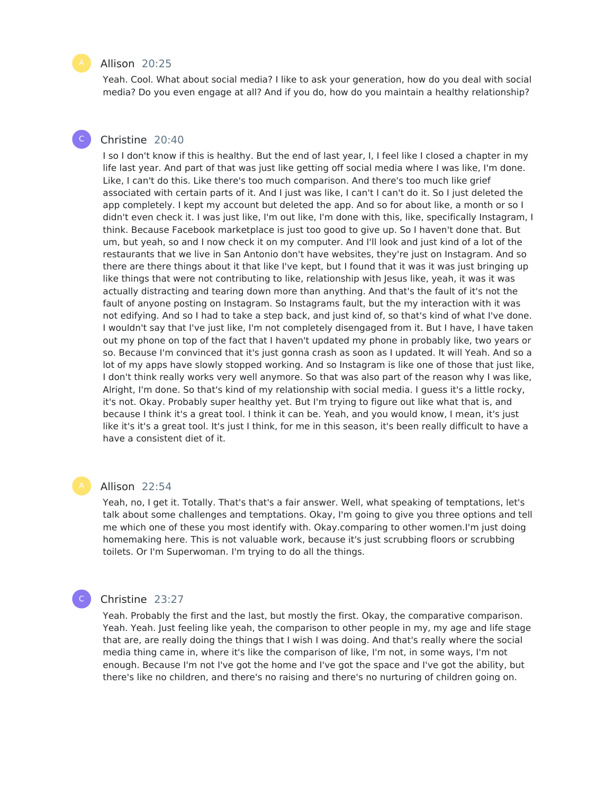#### Allison 20:25

Yeah. Cool. What about social media? I like to ask your generation, how do you deal with social media? Do you even engage at all? And if you do, how do you maintain a healthy relationship?

#### Christine 20:40  $\mathsf{C}^-$

I so I don't know if this is healthy. But the end of last year, I, I feel like I closed a chapter in my life last year. And part of that was just like getting off social media where I was like, I'm done. Like, I can't do this. Like there's too much comparison. And there's too much like grief associated with certain parts of it. And I just was like, I can't I can't do it. So I just deleted the app completely. I kept my account but deleted the app. And so for about like, a month or so I didn't even check it. I was just like, I'm out like, I'm done with this, like, specifically Instagram, I think. Because Facebook marketplace is just too good to give up. So I haven't done that. But um, but yeah, so and I now check it on my computer. And I'll look and just kind of a lot of the restaurants that we live in San Antonio don't have websites, they're just on Instagram. And so there are there things about it that like I've kept, but I found that it was it was just bringing up like things that were not contributing to like, relationship with Jesus like, yeah, it was it was actually distracting and tearing down more than anything. And that's the fault of it's not the fault of anyone posting on Instagram. So Instagrams fault, but the my interaction with it was not edifying. And so I had to take a step back, and just kind of, so that's kind of what I've done. I wouldn't say that I've just like, I'm not completely disengaged from it. But I have, I have taken out my phone on top of the fact that I haven't updated my phone in probably like, two years or so. Because I'm convinced that it's just gonna crash as soon as I updated. It will Yeah. And so a lot of my apps have slowly stopped working. And so Instagram is like one of those that just like, I don't think really works very well anymore. So that was also part of the reason why I was like, Alright, I'm done. So that's kind of my relationship with social media. I guess it's a little rocky, it's not. Okay. Probably super healthy yet. But I'm trying to figure out like what that is, and because I think it's a great tool. I think it can be. Yeah, and you would know, I mean, it's just like it's it's a great tool. It's just I think, for me in this season, it's been really difficult to have a have a consistent diet of it.

#### Allison 22:54

Yeah, no, I get it. Totally. That's that's a fair answer. Well, what speaking of temptations, let's talk about some challenges and temptations. Okay, I'm going to give you three options and tell me which one of these you most identify with. Okay.comparing to other women.I'm just doing homemaking here. This is not valuable work, because it's just scrubbing floors or scrubbing toilets. Or I'm Superwoman. I'm trying to do all the things.

#### Christine 23:27

C

Yeah. Probably the first and the last, but mostly the first. Okay, the comparative comparison. Yeah. Yeah. Just feeling like yeah, the comparison to other people in my, my age and life stage that are, are really doing the things that I wish I was doing. And that's really where the social media thing came in, where it's like the comparison of like, I'm not, in some ways, I'm not enough. Because I'm not I've got the home and I've got the space and I've got the ability, but there's like no children, and there's no raising and there's no nurturing of children going on.

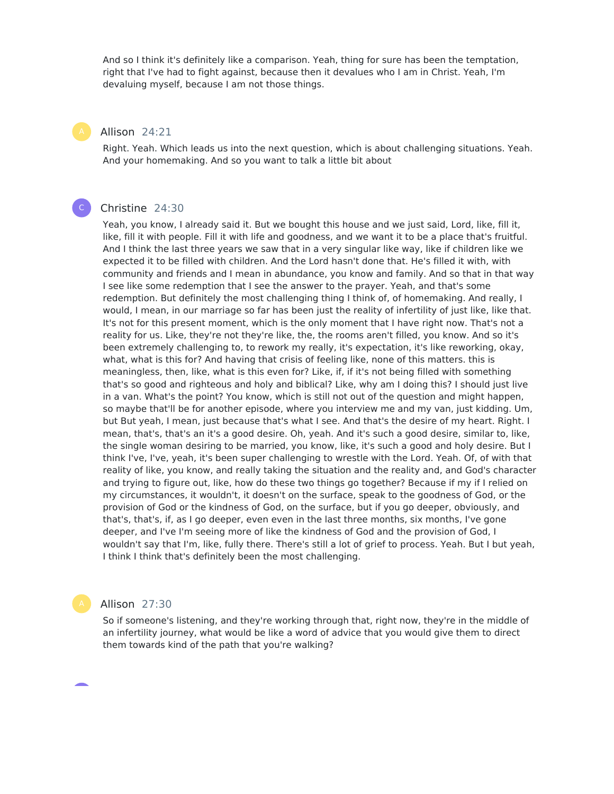And so I think it's definitely like a comparison. Yeah, thing for sure has been the temptation, right that I've had to fight against, because then it devalues who I am in Christ. Yeah, I'm devaluing myself, because I am not those things.

#### Allison 24:21

Right. Yeah. Which leads us into the next question, which is about challenging situations. Yeah. And your homemaking. And so you want to talk a little bit about

#### Christine 24:30

 $\mathsf{C}^-$ 

Yeah, you know, I already said it. But we bought this house and we just said, Lord, like, fill it, like, fill it with people. Fill it with life and goodness, and we want it to be a place that's fruitful. And I think the last three years we saw that in a very singular like way, like if children like we expected it to be filled with children. And the Lord hasn't done that. He's filled it with, with community and friends and I mean in abundance, you know and family. And so that in that way I see like some redemption that I see the answer to the prayer. Yeah, and that's some redemption. But definitely the most challenging thing I think of, of homemaking. And really, I would, I mean, in our marriage so far has been just the reality of infertility of just like, like that. It's not for this present moment, which is the only moment that I have right now. That's not a reality for us. Like, they're not they're like, the, the rooms aren't filled, you know. And so it's been extremely challenging to, to rework my really, it's expectation, it's like reworking, okay, what, what is this for? And having that crisis of feeling like, none of this matters. this is meaningless, then, like, what is this even for? Like, if, if it's not being filled with something that's so good and righteous and holy and biblical? Like, why am I doing this? I should just live in a van. What's the point? You know, which is still not out of the question and might happen, so maybe that'll be for another episode, where you interview me and my van, just kidding. Um, but But yeah, I mean, just because that's what I see. And that's the desire of my heart. Right. I mean, that's, that's an it's a good desire. Oh, yeah. And it's such a good desire, similar to, like, the single woman desiring to be married, you know, like, it's such a good and holy desire. But I think I've, I've, yeah, it's been super challenging to wrestle with the Lord. Yeah. Of, of with that reality of like, you know, and really taking the situation and the reality and, and God's character and trying to figure out, like, how do these two things go together? Because if my if I relied on my circumstances, it wouldn't, it doesn't on the surface, speak to the goodness of God, or the provision of God or the kindness of God, on the surface, but if you go deeper, obviously, and that's, that's, if, as I go deeper, even even in the last three months, six months, I've gone deeper, and I've I'm seeing more of like the kindness of God and the provision of God, I wouldn't say that I'm, like, fully there. There's still a lot of grief to process. Yeah. But I but yeah, I think I think that's definitely been the most challenging.

#### Allison 27:30

So if someone's listening, and they're working through that, right now, they're in the middle of an infertility journey, what would be like a word of advice that you would give them to direct them towards kind of the path that you're walking?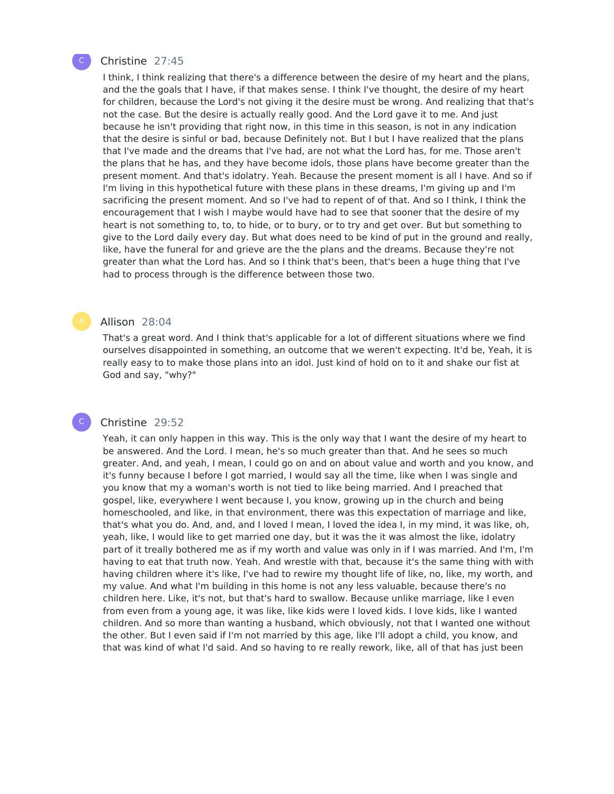

#### Christine 27:45

I think, I think realizing that there's a difference between the desire of my heart and the plans, and the the goals that I have, if that makes sense. I think I've thought, the desire of my heart for children, because the Lord's not giving it the desire must be wrong. And realizing that that's not the case. But the desire is actually really good. And the Lord gave it to me. And just because he isn't providing that right now, in this time in this season, is not in any indication that the desire is sinful or bad, because Definitely not. But I but I have realized that the plans that I've made and the dreams that I've had, are not what the Lord has, for me. Those aren't the plans that he has, and they have become idols, those plans have become greater than the present moment. And that's idolatry. Yeah. Because the present moment is all I have. And so if I'm living in this hypothetical future with these plans in these dreams, I'm giving up and I'm sacrificing the present moment. And so I've had to repent of of that. And so I think, I think the encouragement that I wish I maybe would have had to see that sooner that the desire of my heart is not something to, to, to hide, or to bury, or to try and get over. But but something to give to the Lord daily every day. But what does need to be kind of put in the ground and really, like, have the funeral for and grieve are the the plans and the dreams. Because they're not greater than what the Lord has. And so I think that's been, that's been a huge thing that I've had to process through is the difference between those two.

#### Allison 28:04

That's a great word. And I think that's applicable for a lot of different situations where we find ourselves disappointed in something, an outcome that we weren't expecting. It'd be, Yeah, it is really easy to to make those plans into an idol. Just kind of hold on to it and shake our fist at God and say, "why?"

#### Christine 29:52

C

Yeah, it can only happen in this way. This is the only way that I want the desire of my heart to be answered. And the Lord. I mean, he's so much greater than that. And he sees so much greater. And, and yeah, I mean, I could go on and on about value and worth and you know, and it's funny because I before I got married, I would say all the time, like when I was single and you know that my a woman's worth is not tied to like being married. And I preached that gospel, like, everywhere I went because I, you know, growing up in the church and being homeschooled, and like, in that environment, there was this expectation of marriage and like, that's what you do. And, and, and I loved I mean, I loved the idea I, in my mind, it was like, oh, yeah, like, I would like to get married one day, but it was the it was almost the like, idolatry part of it treally bothered me as if my worth and value was only in if I was married. And I'm, I'm having to eat that truth now. Yeah. And wrestle with that, because it's the same thing with with having children where it's like, I've had to rewire my thought life of like, no, like, my worth, and my value. And what I'm building in this home is not any less valuable, because there's no children here. Like, it's not, but that's hard to swallow. Because unlike marriage, like I even from even from a young age, it was like, like kids were I loved kids. I love kids, like I wanted children. And so more than wanting a husband, which obviously, not that I wanted one without the other. But I even said if I'm not married by this age, like I'll adopt a child, you know, and that was kind of what I'd said. And so having to re really rework, like, all of that has just been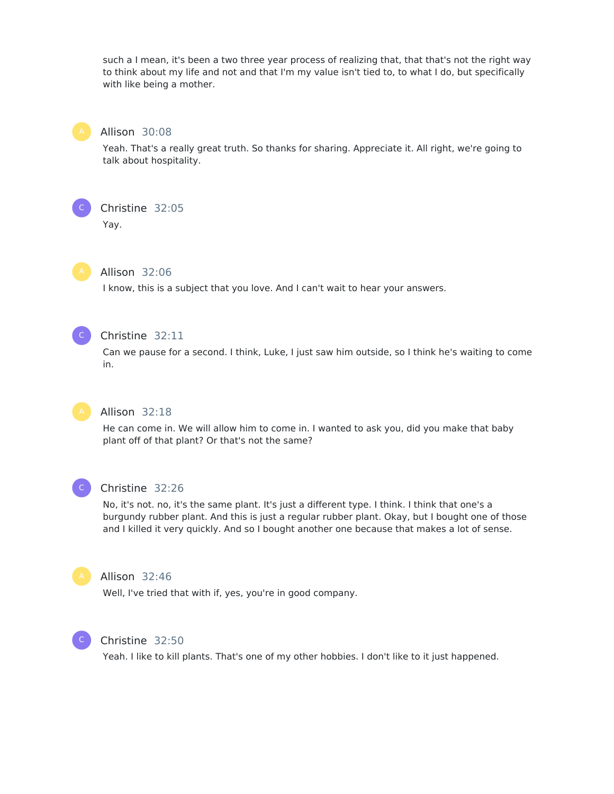such a I mean, it's been a two three year process of realizing that, that that's not the right way to think about my life and not and that I'm my value isn't tied to, to what I do, but specifically with like being a mother.



#### Allison 30:08

Yeah. That's a really great truth. So thanks for sharing. Appreciate it. All right, we're going to talk about hospitality.



Yay.



#### Allison 32:06

I know, this is a subject that you love. And I can't wait to hear your answers.



### Christine 32:11

Can we pause for a second. I think, Luke, I just saw him outside, so I think he's waiting to come in.



#### Allison 32:18

He can come in. We will allow him to come in. I wanted to ask you, did you make that baby plant off of that plant? Or that's not the same?



#### Christine 32:26

No, it's not. no, it's the same plant. It's just a different type. I think. I think that one's a burgundy rubber plant. And this is just a regular rubber plant. Okay, but I bought one of those and I killed it very quickly. And so I bought another one because that makes a lot of sense.



### Allison 32:46

Well, I've tried that with if, yes, you're in good company.



#### Christine 32:50

Yeah. I like to kill plants. That's one of my other hobbies. I don't like to it just happened.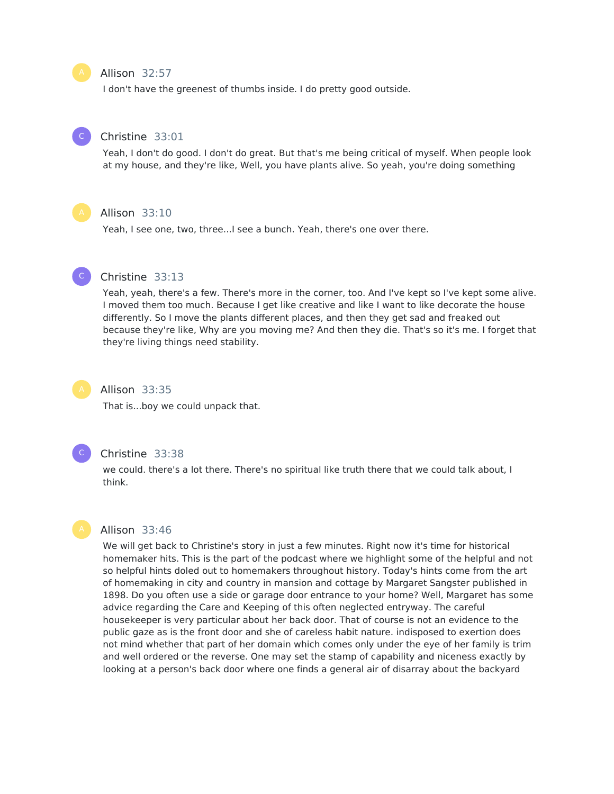#### Allison 32:57

I don't have the greenest of thumbs inside. I do pretty good outside.



#### Christine 33:01

Yeah, I don't do good. I don't do great. But that's me being critical of myself. When people look at my house, and they're like, Well, you have plants alive. So yeah, you're doing something



#### Allison 33:10

Yeah, I see one, two, three...I see a bunch. Yeah, there's one over there.



#### Christine 33:13

Yeah, yeah, there's a few. There's more in the corner, too. And I've kept so I've kept some alive. I moved them too much. Because I get like creative and like I want to like decorate the house differently. So I move the plants different places, and then they get sad and freaked out because they're like, Why are you moving me? And then they die. That's so it's me. I forget that they're living things need stability.



#### Allison 33:35

That is...boy we could unpack that.



#### Christine 33:38

we could. there's a lot there. There's no spiritual like truth there that we could talk about, I think.



#### Allison 33:46

We will get back to Christine's story in just a few minutes. Right now it's time for historical homemaker hits. This is the part of the podcast where we highlight some of the helpful and not so helpful hints doled out to homemakers throughout history. Today's hints come from the art of homemaking in city and country in mansion and cottage by Margaret Sangster published in 1898. Do you often use a side or garage door entrance to your home? Well, Margaret has some advice regarding the Care and Keeping of this often neglected entryway. The careful housekeeper is very particular about her back door. That of course is not an evidence to the public gaze as is the front door and she of careless habit nature. indisposed to exertion does not mind whether that part of her domain which comes only under the eye of her family is trim and well ordered or the reverse. One may set the stamp of capability and niceness exactly by looking at a person's back door where one finds a general air of disarray about the backyard

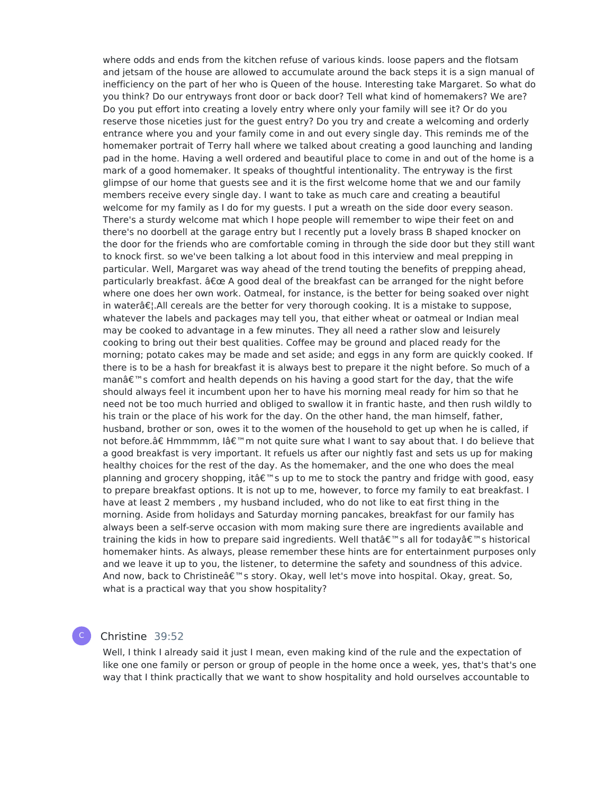where odds and ends from the kitchen refuse of various kinds. loose papers and the flotsam and jetsam of the house are allowed to accumulate around the back steps it is a sign manual of inefficiency on the part of her who is Queen of the house. Interesting take Margaret. So what do you think? Do our entryways front door or back door? Tell what kind of homemakers? We are? Do you put effort into creating a lovely entry where only your family will see it? Or do you reserve those niceties just for the guest entry? Do you try and create a welcoming and orderly entrance where you and your family come in and out every single day. This reminds me of the homemaker portrait of Terry hall where we talked about creating a good launching and landing pad in the home. Having a well ordered and beautiful place to come in and out of the home is a mark of a good homemaker. It speaks of thoughtful intentionality. The entryway is the first glimpse of our home that guests see and it is the first welcome home that we and our family members receive every single day. I want to take as much care and creating a beautiful welcome for my family as I do for my guests. I put a wreath on the side door every season. There's a sturdy welcome mat which I hope people will remember to wipe their feet on and there's no doorbell at the garage entry but I recently put a lovely brass B shaped knocker on the door for the friends who are comfortable coming in through the side door but they still want to knock first. so we've been talking a lot about food in this interview and meal prepping in particular. Well, Margaret was way ahead of the trend touting the benefits of prepping ahead, particularly breakfast.  $\hat{a}\epsilon$ ce A good deal of the breakfast can be arranged for the night before where one does her own work. Oatmeal, for instance, is the better for being soaked over night in water $\hat{\sigma} \in \mathcal{E}$ . All cereals are the better for very thorough cooking. It is a mistake to suppose, whatever the labels and packages may tell you, that either wheat or oatmeal or Indian meal may be cooked to advantage in a few minutes. They all need a rather slow and leisurely cooking to bring out their best qualities. Coffee may be ground and placed ready for the morning; potato cakes may be made and set aside; and eggs in any form are quickly cooked. If there is to be a hash for breakfast it is always best to prepare it the night before. So much of a manâ€<sup>™</sup>s comfort and health depends on his having a good start for the day, that the wife should always feel it incumbent upon her to have his morning meal ready for him so that he need not be too much hurried and obliged to swallow it in frantic haste, and then rush wildly to his train or the place of his work for the day. On the other hand, the man himself, father, husband, brother or son, owes it to the women of the household to get up when he is called, if not before.†Hmmmmm, Iâ€<sup>™</sup>m not quite sure what I want to say about that. I do believe that a good breakfast is very important. It refuels us after our nightly fast and sets us up for making healthy choices for the rest of the day. As the homemaker, and the one who does the meal planning and grocery shopping, it  $\hat{\mathbf{a}} \in \mathbb{M}$  sup to me to stock the pantry and fridge with good, easy to prepare breakfast options. It is not up to me, however, to force my family to eat breakfast. I have at least 2 members , my husband included, who do not like to eat first thing in the morning. Aside from holidays and Saturday morning pancakes, breakfast for our family has always been a self-serve occasion with mom making sure there are ingredients available and training the kids in how to prepare said ingredients. Well that  $\hat{\theta} \in \mathbb{R}^n$  all for today  $\hat{\theta} \in \mathbb{R}^n$  shistorical homemaker hints. As always, please remember these hints are for entertainment purposes only and we leave it up to you, the listener, to determine the safety and soundness of this advice. And now, back to Christineâ€<sup>™</sup>s story. Okay, well let's move into hospital. Okay, great. So, what is a practical way that you show hospitality?

#### Christine 39:52

C

Well, I think I already said it just I mean, even making kind of the rule and the expectation of like one one family or person or group of people in the home once a week, yes, that's that's one way that I think practically that we want to show hospitality and hold ourselves accountable to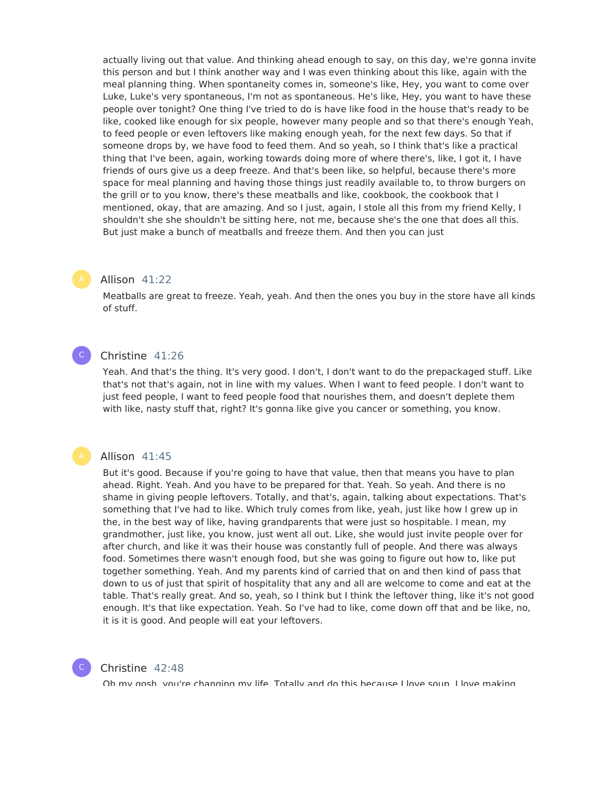actually living out that value. And thinking ahead enough to say, on this day, we're gonna invite this person and but I think another way and I was even thinking about this like, again with the meal planning thing. When spontaneity comes in, someone's like, Hey, you want to come over Luke, Luke's very spontaneous, I'm not as spontaneous. He's like, Hey, you want to have these people over tonight? One thing I've tried to do is have like food in the house that's ready to be like, cooked like enough for six people, however many people and so that there's enough Yeah, to feed people or even leftovers like making enough yeah, for the next few days. So that if someone drops by, we have food to feed them. And so yeah, so I think that's like a practical thing that I've been, again, working towards doing more of where there's, like, I got it, I have friends of ours give us a deep freeze. And that's been like, so helpful, because there's more space for meal planning and having those things just readily available to, to throw burgers on the grill or to you know, there's these meatballs and like, cookbook, the cookbook that I mentioned, okay, that are amazing. And so I just, again, I stole all this from my friend Kelly, I shouldn't she she shouldn't be sitting here, not me, because she's the one that does all this. But just make a bunch of meatballs and freeze them. And then you can just

#### Allison 41:22

Meatballs are great to freeze. Yeah, yeah. And then the ones you buy in the store have all kinds of stuff.

#### Christine 41:26  $\mathsf{C}^-$

Yeah. And that's the thing. It's very good. I don't, I don't want to do the prepackaged stuff. Like that's not that's again, not in line with my values. When I want to feed people. I don't want to just feed people, I want to feed people food that nourishes them, and doesn't deplete them with like, nasty stuff that, right? It's gonna like give you cancer or something, you know.

#### Allison 41:45

But it's good. Because if you're going to have that value, then that means you have to plan ahead. Right. Yeah. And you have to be prepared for that. Yeah. So yeah. And there is no shame in giving people leftovers. Totally, and that's, again, talking about expectations. That's something that I've had to like. Which truly comes from like, yeah, just like how I grew up in the, in the best way of like, having grandparents that were just so hospitable. I mean, my grandmother, just like, you know, just went all out. Like, she would just invite people over for after church, and like it was their house was constantly full of people. And there was always food. Sometimes there wasn't enough food, but she was going to figure out how to, like put together something. Yeah. And my parents kind of carried that on and then kind of pass that down to us of just that spirit of hospitality that any and all are welcome to come and eat at the table. That's really great. And so, yeah, so I think but I think the leftover thing, like it's not good enough. It's that like expectation. Yeah. So I've had to like, come down off that and be like, no, it is it is good. And people will eat your leftovers.

#### C

#### Christine 42:48

Oh my gosh, you're changing my life. Totally and do this because I love soup. I love making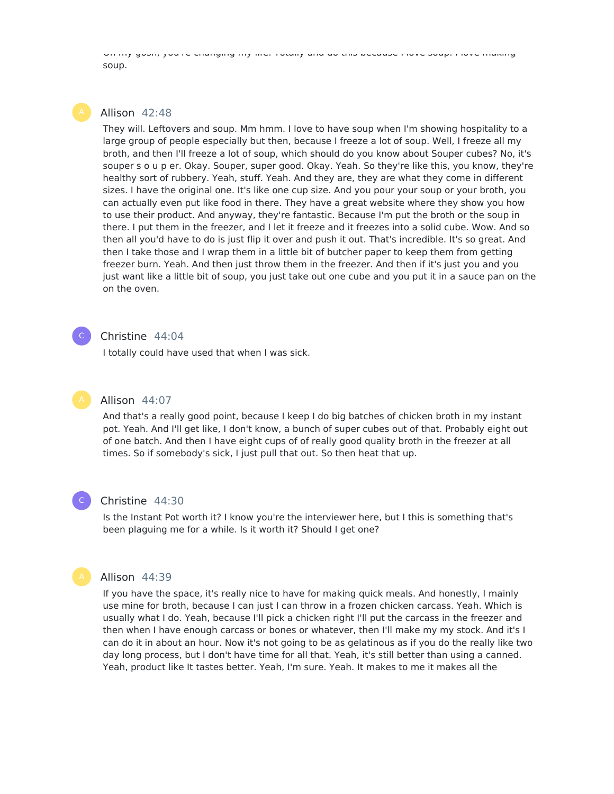Oh my gosh, you're changing my life. Totally and do this because I love soup. I love making soup.

### Allison 42:48

They will. Leftovers and soup. Mm hmm. I love to have soup when I'm showing hospitality to a large group of people especially but then, because I freeze a lot of soup. Well, I freeze all my broth, and then I'll freeze a lot of soup, which should do you know about Souper cubes? No, it's souper s o u p er. Okay. Souper, super good. Okay. Yeah. So they're like this, you know, they're healthy sort of rubbery. Yeah, stuff. Yeah. And they are, they are what they come in different sizes. I have the original one. It's like one cup size. And you pour your soup or your broth, you can actually even put like food in there. They have a great website where they show you how to use their product. And anyway, they're fantastic. Because I'm put the broth or the soup in there. I put them in the freezer, and I let it freeze and it freezes into a solid cube. Wow. And so then all you'd have to do is just flip it over and push it out. That's incredible. It's so great. And then I take those and I wrap them in a little bit of butcher paper to keep them from getting freezer burn. Yeah. And then just throw them in the freezer. And then if it's just you and you just want like a little bit of soup, you just take out one cube and you put it in a sauce pan on the on the oven.

#### Christine 44:04

I totally could have used that when I was sick.

#### Allison 44:07

And that's a really good point, because I keep I do big batches of chicken broth in my instant pot. Yeah. And I'll get like, I don't know, a bunch of super cubes out of that. Probably eight out of one batch. And then I have eight cups of of really good quality broth in the freezer at all times. So if somebody's sick, I just pull that out. So then heat that up.



 $\mathsf{C}^-$ 

#### Christine 44:30

Is the Instant Pot worth it? I know you're the interviewer here, but I this is something that's been plaguing me for a while. Is it worth it? Should I get one?

#### Allison 44:39

If you have the space, it's really nice to have for making quick meals. And honestly, I mainly use mine for broth, because I can just I can throw in a frozen chicken carcass. Yeah. Which is usually what I do. Yeah, because I'll pick a chicken right I'll put the carcass in the freezer and then when I have enough carcass or bones or whatever, then I'll make my my stock. And it's I can do it in about an hour. Now it's not going to be as gelatinous as if you do the really like two day long process, but I don't have time for all that. Yeah, it's still better than using a canned. Yeah, product like It tastes better. Yeah, I'm sure. Yeah. It makes to me it makes all the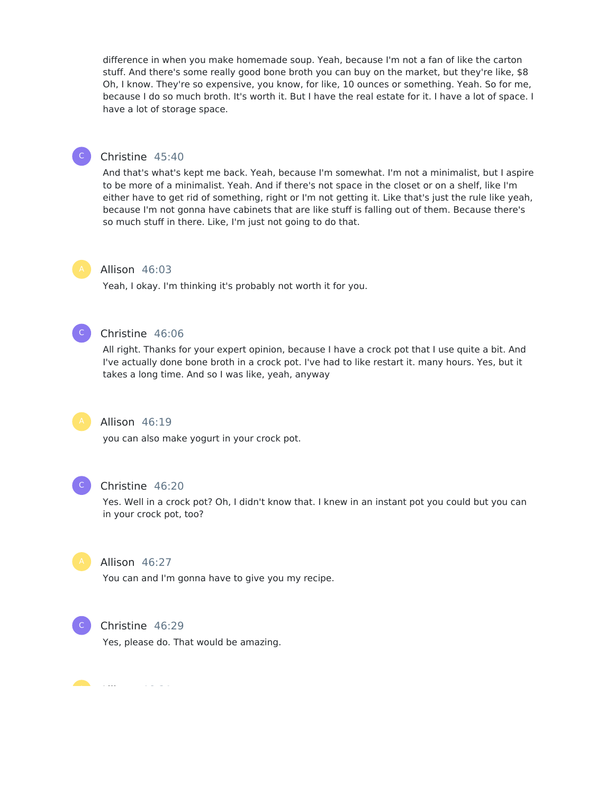difference in when you make homemade soup. Yeah, because I'm not a fan of like the carton stuff. And there's some really good bone broth you can buy on the market, but they're like, \$8 Oh, I know. They're so expensive, you know, for like, 10 ounces or something. Yeah. So for me, because I do so much broth. It's worth it. But I have the real estate for it. I have a lot of space. I have a lot of storage space.



#### Christine 45:40

And that's what's kept me back. Yeah, because I'm somewhat. I'm not a minimalist, but I aspire to be more of a minimalist. Yeah. And if there's not space in the closet or on a shelf, like I'm either have to get rid of something, right or I'm not getting it. Like that's just the rule like yeah, because I'm not gonna have cabinets that are like stuff is falling out of them. Because there's so much stuff in there. Like, I'm just not going to do that.

#### Allison 46:03

Yeah, I okay. I'm thinking it's probably not worth it for you.



#### Christine 46:06

All right. Thanks for your expert opinion, because I have a crock pot that I use quite a bit. And I've actually done bone broth in a crock pot. I've had to like restart it. many hours. Yes, but it takes a long time. And so I was like, yeah, anyway



#### Allison 46:19

you can also make yogurt in your crock pot.



#### Christine 46:20

Yes. Well in a crock pot? Oh, I didn't know that. I knew in an instant pot you could but you can in your crock pot, too?



# Allison 46:27

You can and I'm gonna have to give you my recipe.



#### Christine 46:29

Yes, please do. That would be amazing.

Allison 46:31 A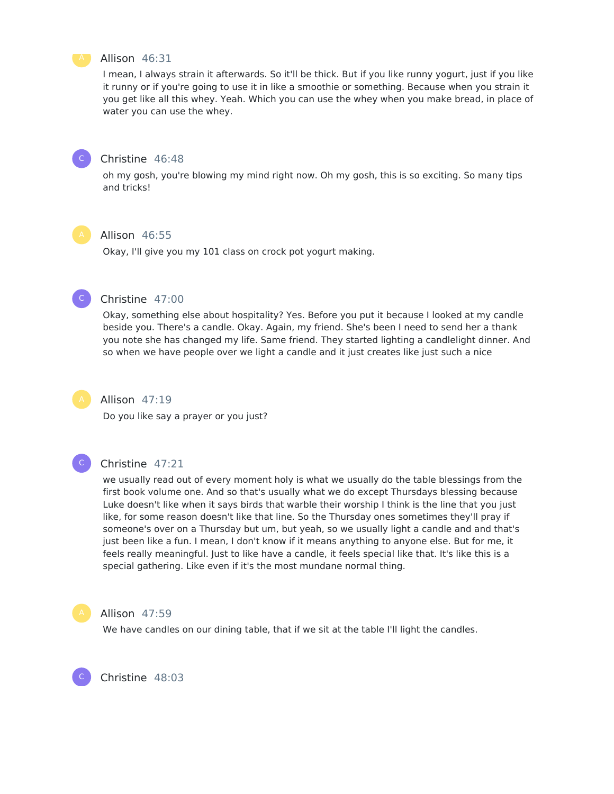

#### Allison 46:31

I mean, I always strain it afterwards. So it'll be thick. But if you like runny yogurt, just if you like it runny or if you're going to use it in like a smoothie or something. Because when you strain it you get like all this whey. Yeah. Which you can use the whey when you make bread, in place of water you can use the whey.



#### Christine 46:48

oh my gosh, you're blowing my mind right now. Oh my gosh, this is so exciting. So many tips and tricks!



#### Allison 46:55

Okay, I'll give you my 101 class on crock pot yogurt making.



#### Christine 47:00

Okay, something else about hospitality? Yes. Before you put it because I looked at my candle beside you. There's a candle. Okay. Again, my friend. She's been I need to send her a thank you note she has changed my life. Same friend. They started lighting a candlelight dinner. And so when we have people over we light a candle and it just creates like just such a nice



#### Allison 47:19

Do you like say a prayer or you just?



#### Christine 47:21

we usually read out of every moment holy is what we usually do the table blessings from the first book volume one. And so that's usually what we do except Thursdays blessing because Luke doesn't like when it says birds that warble their worship I think is the line that you just like, for some reason doesn't like that line. So the Thursday ones sometimes they'll pray if someone's over on a Thursday but um, but yeah, so we usually light a candle and and that's just been like a fun. I mean, I don't know if it means anything to anyone else. But for me, it feels really meaningful. Just to like have a candle, it feels special like that. It's like this is a special gathering. Like even if it's the most mundane normal thing.



C

#### Allison 47:59

We have candles on our dining table, that if we sit at the table I'll light the candles.

Christine 48:03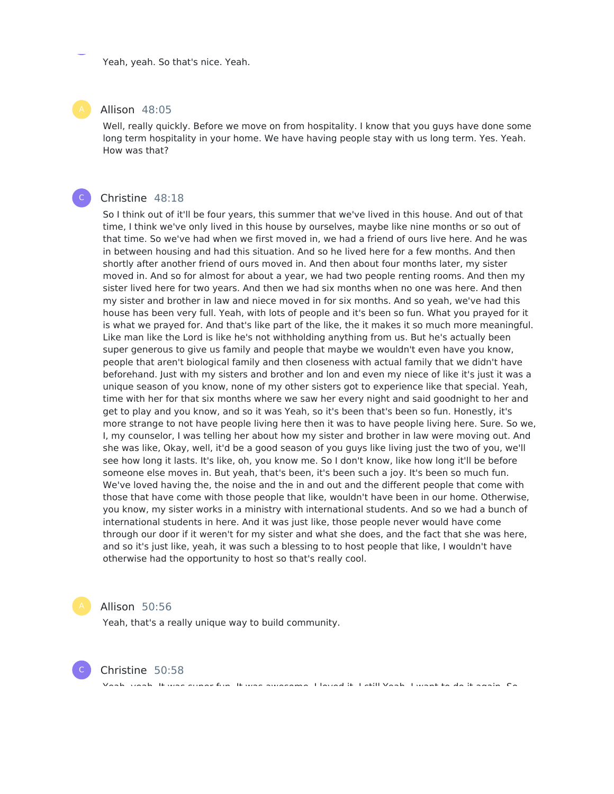Yeah, yeah. So that's nice. Yeah.

#### Allison 48:05

Well, really quickly. Before we move on from hospitality. I know that you guys have done some long term hospitality in your home. We have having people stay with us long term. Yes. Yeah. How was that?

#### Christine 48:18

 $\mathsf{C}^-$ 

So I think out of it'll be four years, this summer that we've lived in this house. And out of that time, I think we've only lived in this house by ourselves, maybe like nine months or so out of that time. So we've had when we first moved in, we had a friend of ours live here. And he was in between housing and had this situation. And so he lived here for a few months. And then shortly after another friend of ours moved in. And then about four months later, my sister moved in. And so for almost for about a year, we had two people renting rooms. And then my sister lived here for two years. And then we had six months when no one was here. And then my sister and brother in law and niece moved in for six months. And so yeah, we've had this house has been very full. Yeah, with lots of people and it's been so fun. What you prayed for it is what we prayed for. And that's like part of the like, the it makes it so much more meaningful. Like man like the Lord is like he's not withholding anything from us. But he's actually been super generous to give us family and people that maybe we wouldn't even have you know, people that aren't biological family and then closeness with actual family that we didn't have beforehand. Just with my sisters and brother and lon and even my niece of like it's just it was a unique season of you know, none of my other sisters got to experience like that special. Yeah, time with her for that six months where we saw her every night and said goodnight to her and get to play and you know, and so it was Yeah, so it's been that's been so fun. Honestly, it's more strange to not have people living here then it was to have people living here. Sure. So we, I, my counselor, I was telling her about how my sister and brother in law were moving out. And she was like, Okay, well, it'd be a good season of you guys like living just the two of you, we'll see how long it lasts. It's like, oh, you know me. So I don't know, like how long it'll be before someone else moves in. But yeah, that's been, it's been such a joy. It's been so much fun. We've loved having the, the noise and the in and out and the different people that come with those that have come with those people that like, wouldn't have been in our home. Otherwise, you know, my sister works in a ministry with international students. And so we had a bunch of international students in here. And it was just like, those people never would have come through our door if it weren't for my sister and what she does, and the fact that she was here, and so it's just like, yeah, it was such a blessing to to host people that like, I wouldn't have otherwise had the opportunity to host so that's really cool.

Allison 50:56

Christine 50:58

Yeah, that's a really unique way to build community.

C

Yeah, yeah. It was super fun. It was awesome. I loved it. I still Yeah, I want to do it again. So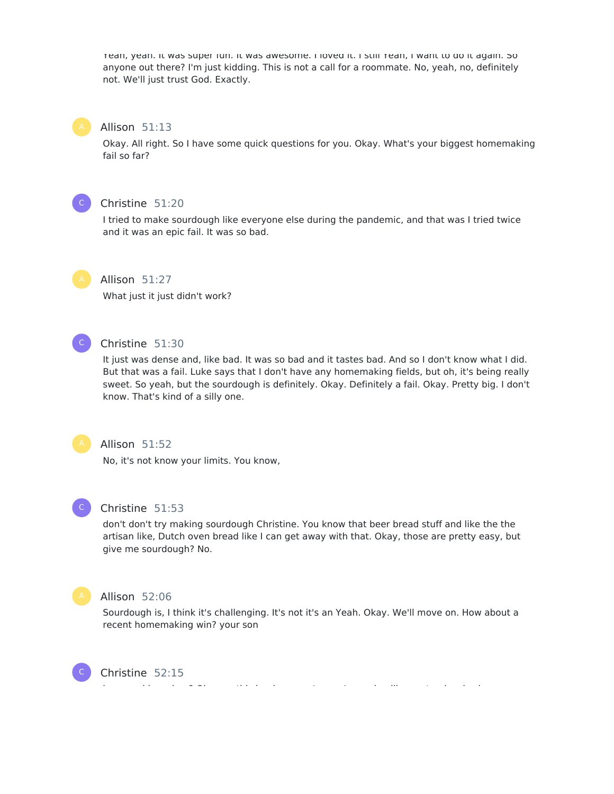Yeah, yeah. It was super fun. It was awesome. I loved it. I still Yeah, I want to do it again. So anyone out there? I'm just kidding. This is not a call for a roommate. No, yeah, no, definitely not. We'll just trust God. Exactly.

#### Allison 51:13

Okay. All right. So I have some quick questions for you. Okay. What's your biggest homemaking fail so far?



#### Christine 51:20

I tried to make sourdough like everyone else during the pandemic, and that was I tried twice and it was an epic fail. It was so bad.



#### Allison 51:27

What just it just didn't work?



#### Christine 51:30

It just was dense and, like bad. It was so bad and it tastes bad. And so I don't know what I did. But that was a fail. Luke says that I don't have any homemaking fields, but oh, it's being really sweet. So yeah, but the sourdough is definitely. Okay. Definitely a fail. Okay. Pretty big. I don't know. That's kind of a silly one.



#### Allison 51:52

No, it's not know your limits. You know,



#### Christine 51:53

don't don't try making sourdough Christine. You know that beer bread stuff and like the the artisan like, Dutch oven bread like I can get away with that. Okay, those are pretty easy, but give me sourdough? No.



C

#### Allison 52:06

Sourdough is, I think it's challenging. It's not it's an Yeah. Okay. We'll move on. How about a recent homemaking win? your son

Christine 52:15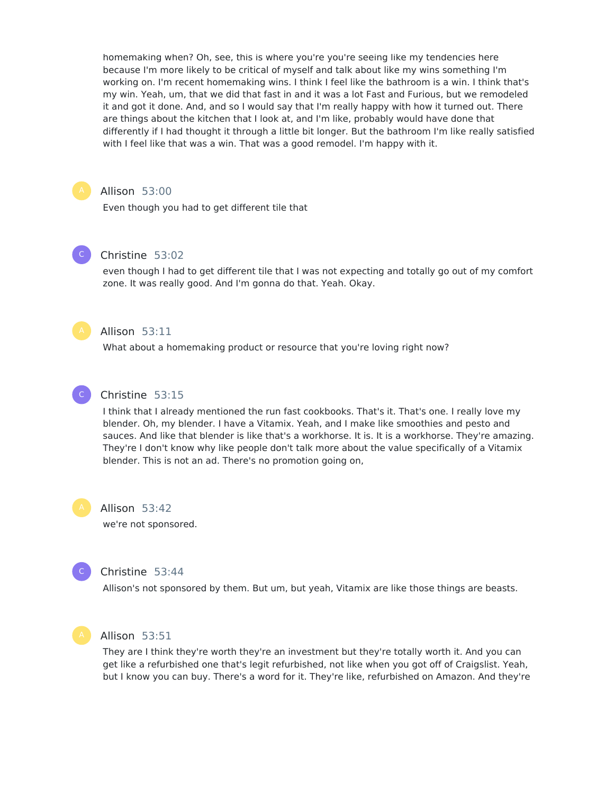homemaking when? Oh, see, this is where you're you're seeing like my tendencies here because I'm more likely to be critical of myself and talk about like my wins something I'm working on. I'm recent homemaking wins. I think I feel like the bathroom is a win. I think that's my win. Yeah, um, that we did that fast in and it was a lot Fast and Furious, but we remodeled it and got it done. And, and so I would say that I'm really happy with how it turned out. There are things about the kitchen that I look at, and I'm like, probably would have done that differently if I had thought it through a little bit longer. But the bathroom I'm like really satisfied with I feel like that was a win. That was a good remodel. I'm happy with it.



 $\mathsf{C}^-$ 

#### Allison 53:00

Even though you had to get different tile that

#### Christine 53:02

even though I had to get different tile that I was not expecting and totally go out of my comfort zone. It was really good. And I'm gonna do that. Yeah. Okay.



#### Allison 53:11

What about a homemaking product or resource that you're loving right now?



#### Christine 53:15

I think that I already mentioned the run fast cookbooks. That's it. That's one. I really love my blender. Oh, my blender. I have a Vitamix. Yeah, and I make like smoothies and pesto and sauces. And like that blender is like that's a workhorse. It is. It is a workhorse. They're amazing. They're I don't know why like people don't talk more about the value specifically of a Vitamix blender. This is not an ad. There's no promotion going on,



#### Allison 53:42

we're not sponsored.



#### Christine 53:44

Allison's not sponsored by them. But um, but yeah, Vitamix are like those things are beasts.



#### Allison 53:51

They are I think they're worth they're an investment but they're totally worth it. And you can get like a refurbished one that's legit refurbished, not like when you got off of Craigslist. Yeah, but I know you can buy. There's a word for it. They're like, refurbished on Amazon. And they're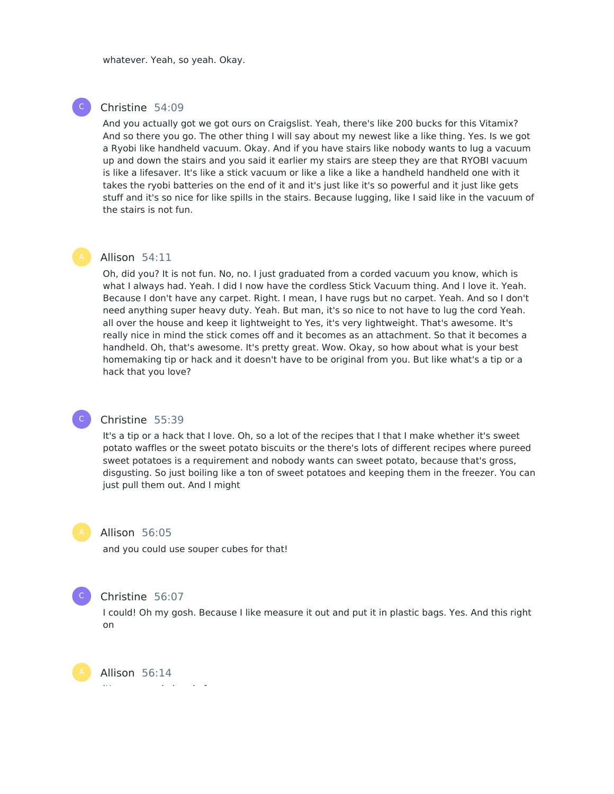whatever. Yeah, so yeah. Okay.

#### Christine 54:09

And you actually got we got ours on Craigslist. Yeah, there's like 200 bucks for this Vitamix? And so there you go. The other thing I will say about my newest like a like thing. Yes. Is we got a Ryobi like handheld vacuum. Okay. And if you have stairs like nobody wants to lug a vacuum up and down the stairs and you said it earlier my stairs are steep they are that RYOBI vacuum is like a lifesaver. It's like a stick vacuum or like a like a like a handheld handheld one with it takes the ryobi batteries on the end of it and it's just like it's so powerful and it just like gets stuff and it's so nice for like spills in the stairs. Because lugging, like I said like in the vacuum of the stairs is not fun.



 $\mathsf{C}^-$ 

### Allison 54:11

Oh, did you? It is not fun. No, no. I just graduated from a corded vacuum you know, which is what I always had. Yeah. I did I now have the cordless Stick Vacuum thing. And I love it. Yeah. Because I don't have any carpet. Right. I mean, I have rugs but no carpet. Yeah. And so I don't need anything super heavy duty. Yeah. But man, it's so nice to not have to lug the cord Yeah. all over the house and keep it lightweight to Yes, it's very lightweight. That's awesome. It's really nice in mind the stick comes off and it becomes as an attachment. So that it becomes a handheld. Oh, that's awesome. It's pretty great. Wow. Okay, so how about what is your best homemaking tip or hack and it doesn't have to be original from you. But like what's a tip or a hack that you love?

#### Christine 55:39

It's a tip or a hack that I love. Oh, so a lot of the recipes that I that I make whether it's sweet potato waffles or the sweet potato biscuits or the there's lots of different recipes where pureed sweet potatoes is a requirement and nobody wants can sweet potato, because that's gross, disgusting. So just boiling like a ton of sweet potatoes and keeping them in the freezer. You can just pull them out. And I might

 $\mathsf{C}^+$ 

 $\mathsf{C}^-$ 

#### Allison 56:05

and you could use souper cubes for that!

#### Christine 56:07

I could! Oh my gosh. Because I like measure it out and put it in plastic bags. Yes. And this right on

Allison 56:14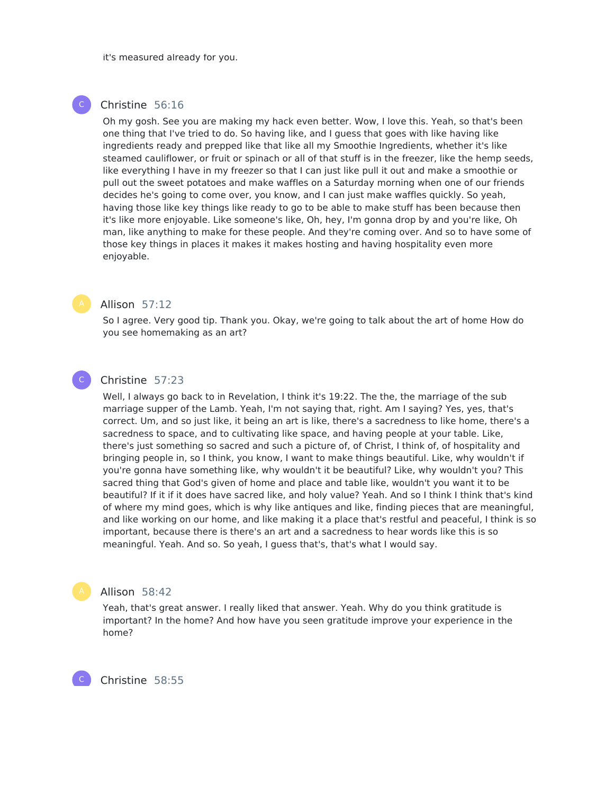it's measured already for you.

#### Christine 56:16

Oh my gosh. See you are making my hack even better. Wow, I love this. Yeah, so that's been one thing that I've tried to do. So having like, and I guess that goes with like having like ingredients ready and prepped like that like all my Smoothie Ingredients, whether it's like steamed cauliflower, or fruit or spinach or all of that stuff is in the freezer, like the hemp seeds, like everything I have in my freezer so that I can just like pull it out and make a smoothie or pull out the sweet potatoes and make waffles on a Saturday morning when one of our friends decides he's going to come over, you know, and I can just make waffles quickly. So yeah, having those like key things like ready to go to be able to make stuff has been because then it's like more enjoyable. Like someone's like, Oh, hey, I'm gonna drop by and you're like, Oh man, like anything to make for these people. And they're coming over. And so to have some of those key things in places it makes it makes hosting and having hospitality even more enjoyable.



 $\mathsf{C}^-$ 

 $\mathsf{C}^-$ 

#### Allison 57:12

So I agree. Very good tip. Thank you. Okay, we're going to talk about the art of home How do you see homemaking as an art?

#### Christine 57:23

Well, I always go back to in Revelation, I think it's 19:22. The the, the marriage of the sub marriage supper of the Lamb. Yeah, I'm not saying that, right. Am I saying? Yes, yes, that's correct. Um, and so just like, it being an art is like, there's a sacredness to like home, there's a sacredness to space, and to cultivating like space, and having people at your table. Like, there's just something so sacred and such a picture of, of Christ, I think of, of hospitality and bringing people in, so I think, you know, I want to make things beautiful. Like, why wouldn't if you're gonna have something like, why wouldn't it be beautiful? Like, why wouldn't you? This sacred thing that God's given of home and place and table like, wouldn't you want it to be beautiful? If it if it does have sacred like, and holy value? Yeah. And so I think I think that's kind of where my mind goes, which is why like antiques and like, finding pieces that are meaningful, and like working on our home, and like making it a place that's restful and peaceful, I think is so important, because there is there's an art and a sacredness to hear words like this is so meaningful. Yeah. And so. So yeah, I guess that's, that's what I would say.

#### Allison 58:42

Yeah, that's great answer. I really liked that answer. Yeah. Why do you think gratitude is important? In the home? And how have you seen gratitude improve your experience in the home?

Christine 58:55

C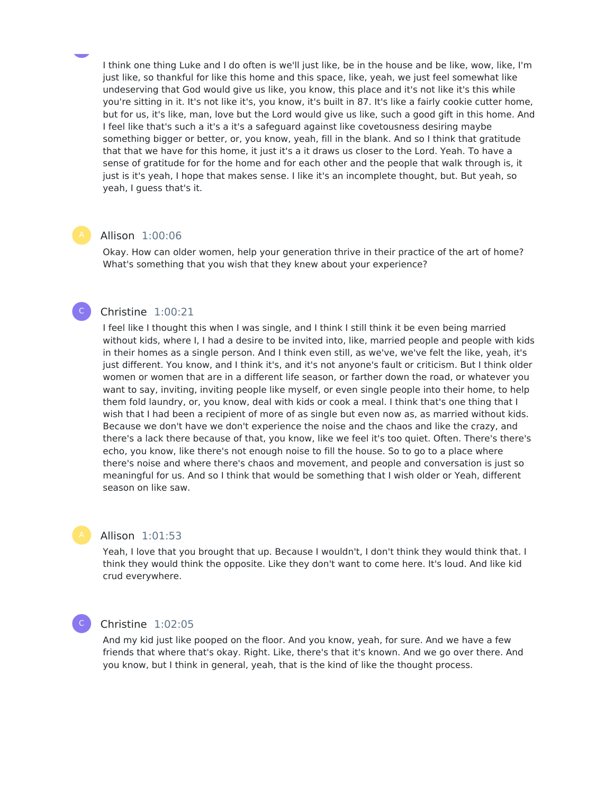I think one thing Luke and I do often is we'll just like, be in the house and be like, wow, like, I'm just like, so thankful for like this home and this space, like, yeah, we just feel somewhat like undeserving that God would give us like, you know, this place and it's not like it's this while you're sitting in it. It's not like it's, you know, it's built in 87. It's like a fairly cookie cutter home, but for us, it's like, man, love but the Lord would give us like, such a good gift in this home. And I feel like that's such a it's a it's a safeguard against like covetousness desiring maybe something bigger or better, or, you know, yeah, fill in the blank. And so I think that gratitude that that we have for this home, it just it's a it draws us closer to the Lord. Yeah. To have a sense of gratitude for for the home and for each other and the people that walk through is, it just is it's yeah, I hope that makes sense. I like it's an incomplete thought, but. But yeah, so yeah, I guess that's it.

#### Allison 1:00:06

Okay. How can older women, help your generation thrive in their practice of the art of home? What's something that you wish that they knew about your experience?

#### Christine 1:00:21

 $\mathsf{C}^-$ 

I feel like I thought this when I was single, and I think I still think it be even being married without kids, where I, I had a desire to be invited into, like, married people and people with kids in their homes as a single person. And I think even still, as we've, we've felt the like, yeah, it's just different. You know, and I think it's, and it's not anyone's fault or criticism. But I think older women or women that are in a different life season, or farther down the road, or whatever you want to say, inviting, inviting people like myself, or even single people into their home, to help them fold laundry, or, you know, deal with kids or cook a meal. I think that's one thing that I wish that I had been a recipient of more of as single but even now as, as married without kids. Because we don't have we don't experience the noise and the chaos and like the crazy, and there's a lack there because of that, you know, like we feel it's too quiet. Often. There's there's echo, you know, like there's not enough noise to fill the house. So to go to a place where there's noise and where there's chaos and movement, and people and conversation is just so meaningful for us. And so I think that would be something that I wish older or Yeah, different season on like saw.

Allison 1:01:53

Yeah, I love that you brought that up. Because I wouldn't, I don't think they would think that. I think they would think the opposite. Like they don't want to come here. It's loud. And like kid crud everywhere.

#### Christine 1:02:05

C

And my kid just like pooped on the floor. And you know, yeah, for sure. And we have a few friends that where that's okay. Right. Like, there's that it's known. And we go over there. And you know, but I think in general, yeah, that is the kind of like the thought process.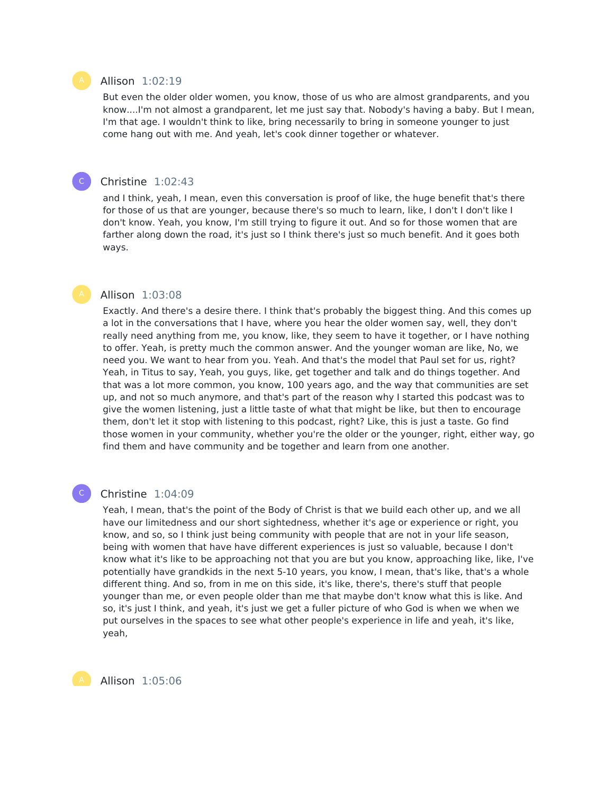#### Allison 1:02:19

But even the older older women, you know, those of us who are almost grandparents, and you know....I'm not almost a grandparent, let me just say that. Nobody's having a baby. But I mean, I'm that age. I wouldn't think to like, bring necessarily to bring in someone younger to just come hang out with me. And yeah, let's cook dinner together or whatever.

#### Christine 1:02:43

and I think, yeah, I mean, even this conversation is proof of like, the huge benefit that's there for those of us that are younger, because there's so much to learn, like, I don't I don't like I don't know. Yeah, you know, I'm still trying to figure it out. And so for those women that are farther along down the road, it's just so I think there's just so much benefit. And it goes both ways.

#### Allison 1:03:08

Exactly. And there's a desire there. I think that's probably the biggest thing. And this comes up a lot in the conversations that I have, where you hear the older women say, well, they don't really need anything from me, you know, like, they seem to have it together, or I have nothing to offer. Yeah, is pretty much the common answer. And the younger woman are like, No, we need you. We want to hear from you. Yeah. And that's the model that Paul set for us, right? Yeah, in Titus to say, Yeah, you guys, like, get together and talk and do things together. And that was a lot more common, you know, 100 years ago, and the way that communities are set up, and not so much anymore, and that's part of the reason why I started this podcast was to give the women listening, just a little taste of what that might be like, but then to encourage them, don't let it stop with listening to this podcast, right? Like, this is just a taste. Go find those women in your community, whether you're the older or the younger, right, either way, go find them and have community and be together and learn from one another.

#### $\mathsf{C}^+$

#### Christine 1:04:09

Yeah, I mean, that's the point of the Body of Christ is that we build each other up, and we all have our limitedness and our short sightedness, whether it's age or experience or right, you know, and so, so I think just being community with people that are not in your life season, being with women that have have different experiences is just so valuable, because I don't know what it's like to be approaching not that you are but you know, approaching like, like, I've potentially have grandkids in the next 5-10 years, you know, I mean, that's like, that's a whole different thing. And so, from in me on this side, it's like, there's, there's stuff that people younger than me, or even people older than me that maybe don't know what this is like. And so, it's just I think, and yeah, it's just we get a fuller picture of who God is when we when we put ourselves in the spaces to see what other people's experience in life and yeah, it's like, yeah,

Allison 1:05:06



 $\mathsf{C}^-$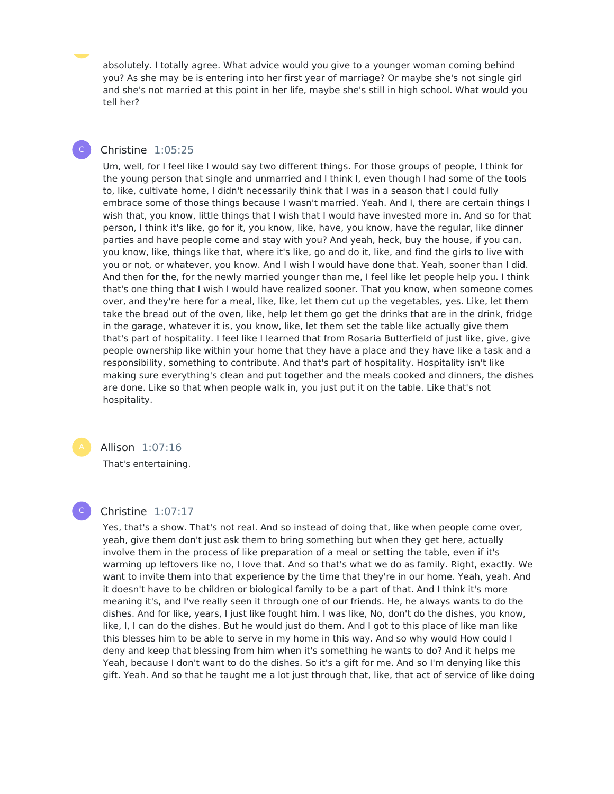absolutely. I totally agree. What advice would you give to a younger woman coming behind you? As she may be is entering into her first year of marriage? Or maybe she's not single girl and she's not married at this point in her life, maybe she's still in high school. What would you tell her?

#### Christine 1:05:25

 $\mathsf{C}^-$ 

Um, well, for I feel like I would say two different things. For those groups of people, I think for the young person that single and unmarried and I think I, even though I had some of the tools to, like, cultivate home, I didn't necessarily think that I was in a season that I could fully embrace some of those things because I wasn't married. Yeah. And I, there are certain things I wish that, you know, little things that I wish that I would have invested more in. And so for that person, I think it's like, go for it, you know, like, have, you know, have the regular, like dinner parties and have people come and stay with you? And yeah, heck, buy the house, if you can, you know, like, things like that, where it's like, go and do it, like, and find the girls to live with you or not, or whatever, you know. And I wish I would have done that. Yeah, sooner than I did. And then for the, for the newly married younger than me, I feel like let people help you. I think that's one thing that I wish I would have realized sooner. That you know, when someone comes over, and they're here for a meal, like, like, let them cut up the vegetables, yes. Like, let them take the bread out of the oven, like, help let them go get the drinks that are in the drink, fridge in the garage, whatever it is, you know, like, let them set the table like actually give them that's part of hospitality. I feel like I learned that from Rosaria Butterfield of just like, give, give people ownership like within your home that they have a place and they have like a task and a responsibility, something to contribute. And that's part of hospitality. Hospitality isn't like making sure everything's clean and put together and the meals cooked and dinners, the dishes are done. Like so that when people walk in, you just put it on the table. Like that's not hospitality.



C

Allison 1:07:16

That's entertaining.

#### Christine 1:07:17

Yes, that's a show. That's not real. And so instead of doing that, like when people come over, yeah, give them don't just ask them to bring something but when they get here, actually involve them in the process of like preparation of a meal or setting the table, even if it's warming up leftovers like no, I love that. And so that's what we do as family. Right, exactly. We want to invite them into that experience by the time that they're in our home. Yeah, yeah. And it doesn't have to be children or biological family to be a part of that. And I think it's more meaning it's, and I've really seen it through one of our friends. He, he always wants to do the dishes. And for like, years, I just like fought him. I was like, No, don't do the dishes, you know, like, I, I can do the dishes. But he would just do them. And I got to this place of like man like this blesses him to be able to serve in my home in this way. And so why would How could I deny and keep that blessing from him when it's something he wants to do? And it helps me Yeah, because I don't want to do the dishes. So it's a gift for me. And so I'm denying like this gift. Yeah. And so that he taught me a lot just through that, like, that act of service of like doing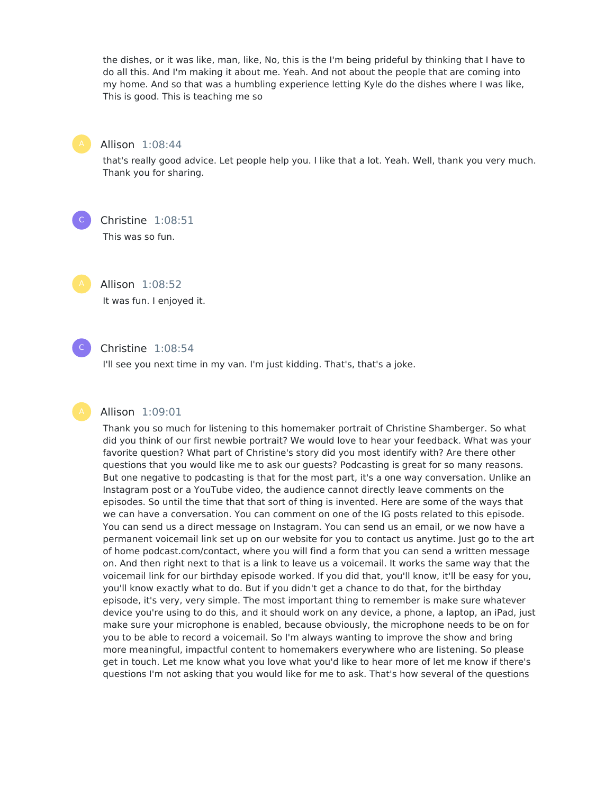the dishes, or it was like, man, like, No, this is the I'm being prideful by thinking that I have to do all this. And I'm making it about me. Yeah. And not about the people that are coming into my home. And so that was a humbling experience letting Kyle do the dishes where I was like, This is good. This is teaching me so



Allison 1:08:44

that's really good advice. Let people help you. I like that a lot. Yeah. Well, thank you very much. Thank you for sharing.

 $\mathsf{C}^-$ 

Christine 1:08:51

This was so fun.

Allison 1:08:52

It was fun. I enjoyed it.



#### Christine 1:08:54

I'll see you next time in my van. I'm just kidding. That's, that's a joke.

#### Allison 1:09:01

Thank you so much for listening to this homemaker portrait of Christine Shamberger. So what did you think of our first newbie portrait? We would love to hear your feedback. What was your favorite question? What part of Christine's story did you most identify with? Are there other questions that you would like me to ask our guests? Podcasting is great for so many reasons. But one negative to podcasting is that for the most part, it's a one way conversation. Unlike an Instagram post or a YouTube video, the audience cannot directly leave comments on the episodes. So until the time that that sort of thing is invented. Here are some of the ways that we can have a conversation. You can comment on one of the IG posts related to this episode. You can send us a direct message on Instagram. You can send us an email, or we now have a permanent voicemail link set up on our website for you to contact us anytime. Just go to the art of home podcast.com/contact, where you will find a form that you can send a written message on. And then right next to that is a link to leave us a voicemail. It works the same way that the voicemail link for our birthday episode worked. If you did that, you'll know, it'll be easy for you, you'll know exactly what to do. But if you didn't get a chance to do that, for the birthday episode, it's very, very simple. The most important thing to remember is make sure whatever device you're using to do this, and it should work on any device, a phone, a laptop, an iPad, just make sure your microphone is enabled, because obviously, the microphone needs to be on for you to be able to record a voicemail. So I'm always wanting to improve the show and bring more meaningful, impactful content to homemakers everywhere who are listening. So please get in touch. Let me know what you love what you'd like to hear more of let me know if there's questions I'm not asking that you would like for me to ask. That's how several of the questions